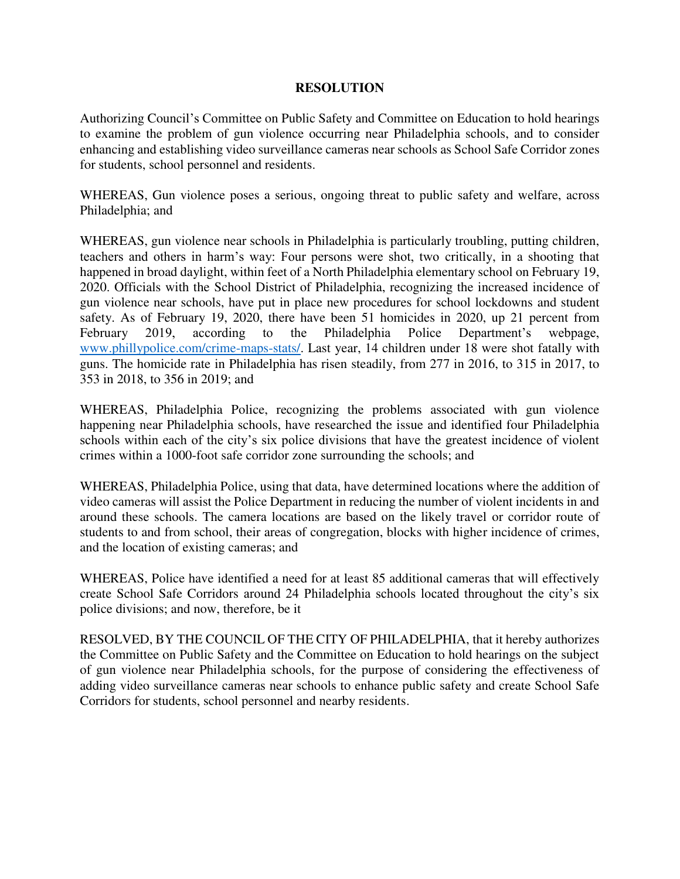## **RESOLUTION**

Authorizing Council's Committee on Public Safety and Committee on Education to hold hearings to examine the problem of gun violence occurring near Philadelphia schools, and to consider enhancing and establishing video surveillance cameras near schools as School Safe Corridor zones for students, school personnel and residents.

WHEREAS, Gun violence poses a serious, ongoing threat to public safety and welfare, across Philadelphia; and

WHEREAS, gun violence near schools in Philadelphia is particularly troubling, putting children, teachers and others in harm's way: Four persons were shot, two critically, in a shooting that happened in broad daylight, within feet of a North Philadelphia elementary school on February 19, 2020. Officials with the School District of Philadelphia, recognizing the increased incidence of gun violence near schools, have put in place new procedures for school lockdowns and student safety. As of February 19, 2020, there have been 51 homicides in 2020, up 21 percent from February 2019, according to the Philadelphia Police Department's webpage, [www.phillypolice.com/crime-maps-stats/.](file:///C:/Users/mary%20mcdaniel/AppData/Local/Microsoft/Windows/INetCache/Content.Outlook/FJ6XD7IA/www.phillypolice.com/crime-maps-stats/) Last year, 14 children under 18 were shot fatally with guns. The homicide rate in Philadelphia has risen steadily, from 277 in 2016, to 315 in 2017, to 353 in 2018, to 356 in 2019; and

WHEREAS, Philadelphia Police, recognizing the problems associated with gun violence happening near Philadelphia schools, have researched the issue and identified four Philadelphia schools within each of the city's six police divisions that have the greatest incidence of violent crimes within a 1000-foot safe corridor zone surrounding the schools; and

WHEREAS, Philadelphia Police, using that data, have determined locations where the addition of video cameras will assist the Police Department in reducing the number of violent incidents in and around these schools. The camera locations are based on the likely travel or corridor route of students to and from school, their areas of congregation, blocks with higher incidence of crimes, and the location of existing cameras; and

WHEREAS, Police have identified a need for at least 85 additional cameras that will effectively create School Safe Corridors around 24 Philadelphia schools located throughout the city's six police divisions; and now, therefore, be it

RESOLVED, BY THE COUNCIL OF THE CITY OF PHILADELPHIA, that it hereby authorizes the Committee on Public Safety and the Committee on Education to hold hearings on the subject of gun violence near Philadelphia schools, for the purpose of considering the effectiveness of adding video surveillance cameras near schools to enhance public safety and create School Safe Corridors for students, school personnel and nearby residents.